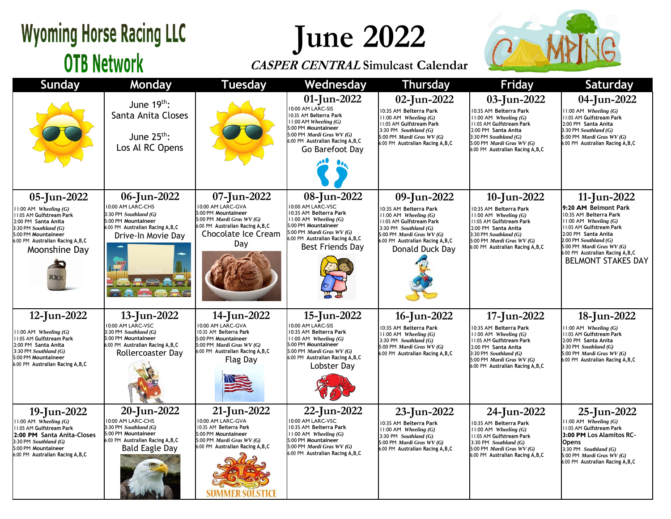## **Wyoming Horse Racing LLC OTB Network**

**June 2022**

### **CASPER CENTRAL Simulcast Calendar**



| <b>Sunday</b>                                                                                                                                                                                         | Monday                                                                                                                                         | <b>Tuesday</b>                                                                                                                                                  | Wednesday                                                                                                                                                                                                   | <b>Thursday</b>                                                                                                                                                                                                | <b>Friday</b>                                                                                                                                                                                                             | Saturday                                                                                                                                                                                                                                                                  |
|-------------------------------------------------------------------------------------------------------------------------------------------------------------------------------------------------------|------------------------------------------------------------------------------------------------------------------------------------------------|-----------------------------------------------------------------------------------------------------------------------------------------------------------------|-------------------------------------------------------------------------------------------------------------------------------------------------------------------------------------------------------------|----------------------------------------------------------------------------------------------------------------------------------------------------------------------------------------------------------------|---------------------------------------------------------------------------------------------------------------------------------------------------------------------------------------------------------------------------|---------------------------------------------------------------------------------------------------------------------------------------------------------------------------------------------------------------------------------------------------------------------------|
|                                                                                                                                                                                                       | June $19th$ :<br>Santa Anita Closes<br>June $25^{th}$ :<br>Los Al RC Opens                                                                     |                                                                                                                                                                 | 01-Jun-2022<br>10:00 AM LARC-SIS<br>10:35 AM Belterra Park<br>$11:00$ AM Wheeling $(G)$<br>5:00 PM Mountaineer<br>5:00 PM Mardi Gras WV (G)<br>6:00 PM Australian Racing A, B, C<br>Go Barefoot Day         | 02-Jun-2022<br>10:35 AM Belterra Park<br>$11:00$ AM Wheeling $(G)$<br>11:05 AM Gulfstream Park<br>3:30 PM Southland $(G)$<br>5:00 PM Mardi Gras WV (G)<br>6:00 PM Australian Racing A, B, C                    | 03-Jun-2022<br>10:35 AM Belterra Park<br>$11:00$ AM Wheeling $(G)$<br>11:05 AM Gulfstream Park<br>2:00 PM Santa Anita<br>3:30 PM Southland $(G)$<br>5:00 PM Mardi Gras WV (G)<br>6:00 PM Australian Racing A, B, C        | 04-Jun-2022<br>$1:00$ AM Wheeling $(G)$<br>11:05 AM Gulfstream Park<br>2:00 PM Santa Anita<br>$3:30$ PM Southland $(G)$<br>5:00 PM Mardi Gras WV (G)<br>6:00 PM Australian Racing A, B, C                                                                                 |
| 05-Jun-2022<br>$11:00$ AM Wheeling $(G)$<br>11:05 AM Gulfstream Park<br>2:00 PM Santa Anita<br>$3:30$ PM Southland $(G)$<br>5:00 PM Mountaineer<br>6:00 PM Australian Racing A, B, C<br>Moonshine Day | 06-Jun-2022<br>10:00 AM LARC-CHS<br>3:30 PM Southland (G)<br>5:00 PM Mountaineer<br>6:00 PM Australian Racing A, B, C<br>Drive-In Movie Day    | 07-Jun-2022<br>10:00 AM LARC-GVA<br>5:00 PM Mountaineer<br>5:00 PM Mardi Gras WV (G)<br>6:00 PM Australian Racing A, B, C<br>Chocolate Ice Cream<br>Day         | 08-Jun-2022<br>10:00 AM LARC-VSC<br>10:35 AM Belterra Park<br>$11:00$ AM Wheeling $(G)$<br>5:00 PM Mountaineer<br>5:00 PM Mardi Gras WV (G)<br>6:00 PM Australian Racing A, B, C<br><b>Best Friends Day</b> | 09-Jun-2022<br>10:35 AM Belterra Park<br>$11:00$ AM Wheeling $(G)$<br>11:05 AM Gulfstream Park<br>3:30 PM Southland $(G)$<br>5:00 PM Mardi Gras WV (G)<br>6:00 PM Australian Racing A, B, C<br>Donald Duck Day | 10-Jun-2022<br>10:35 AM Belterra Park<br>$11:00$ AM Wheeling $(G)$<br>11:05 AM Gulfstream Park<br>2:00 PM Santa Anita<br>3:30 PM Southland $(G)$<br>5:00 PM Mardi Gras WV (G)<br>6:00 PM Australian Racing A, B, C        | 11-Jun-2022<br>9:20 AM Belmont Park<br>10:35 AM Belterra Park<br>$11:00$ AM Wheeling $(G)$<br>II:05 AM Gulfstream Park<br>2:00 PM Santa Anita<br>$2:00$ PM Southland $(G)$<br>5:00 PM Mardi Gras WV (G)<br>6:00 PM Australian Racing A, B, C<br><b>BELMONT STAKES DAY</b> |
| 12-Jun-2022<br>$11:00$ AM Wheeling $(G)$<br>11:05 AM Gulfstream Park<br>2:00 PM Santa Anita<br>3:30 PM Southland $(G)$<br>5:00 PM Mountaineer<br>6:00 PM Australian Racing A, B, C                    | 13-Jun-2022<br>10:00 AM LARC-VSC<br>3:30 PM Southland (G)<br>5:00 PM Mountaineer<br>6:00 PM Australian Racing A, B, C<br>Rollercoaster Day     | 14-Jun-2022<br>10:00 AM LARC-GVA<br>10:35 AM Belterra Park<br>5:00 PM Mountaineer<br>5:00 PM Mardi Gras WV (G)<br>6:00 PM Australian Racing A, B, C<br>Flag Day | 15-Jun-2022<br>10:00 AM LARC-SIS<br>10:35 AM Belterra Park<br>$11:00$ AM Wheeling $(G)$<br>5:00 PM Mountaineer<br>5:00 PM Mardi Gras WV (G)<br>6:00 PM Australian Racing A, B, C<br>Lobster Dav             | 16-Jun-2022<br>10:35 AM Belterra Park<br>$11:00$ AM Wheeling $(G)$<br>$3:30$ PM Southland $(G)$<br>5:00 PM Mardi Gras WV (G)<br>6:00 PM Australian Racing A, B, C                                              | 17-Jun-2022<br>10:35 AM Belterra Park<br>$11:00$ AM Wheeling $(G)$<br>11:05 AM Gulfstream Park<br>2:00 PM Santa Anita<br>3:30 PM Southland (G)<br>5:00 PM <i>Mardi Gras WV</i> $(G)$<br>6:00 PM Australian Racing A, B, C | 18-Jun-2022<br>$1:00$ AM Wheeling $(G)$<br>11:05 AM Gulfstream Park<br>2:00 PM Santa Anita<br>3:30 PM Southland (G)<br>5:00 PM Mardi Gras WV (G)<br>6:00 PM Australian Racing A, B, C                                                                                     |
| 19-Jun-2022<br>$11:00$ AM Wheeling $(G)$<br><b>11:05 AM Gulfstream Park</b><br>2:00 PM Santa Anita-Closes<br>3:30 PM Southland (G)<br>5:00 PM Mountaineer<br>6:00 PM Australian Racing A, B, C        | 20-Jun-2022<br>10:00 AM LARC-CHS<br>3:30 PM Southland (G)<br>5:00 PM Mountaineer<br>6:00 PM Australian Racing A, B, C<br><b>Bald Eagle Day</b> | 21-Jun-2022<br>10:00 AM LARC-GVA<br>10:35 AM Belterra Park<br>5:00 PM Mountaineer<br>5:00 PM Mardi Gras WV (G)<br>6:00 PM Australian Racing A, B, C             | 22-Jun-2022<br>10:00 AM LARC-VSC<br>10:35 AM Belterra Park<br>11:00 AM Wheeling (G)<br>5:00 PM Mountaineer<br>5:00 PM Mardi Gras WV (G)<br>6:00 PM Australian Racing A, B, C                                | 23-Jun-2022<br>10:35 AM Belterra Park<br>$11:00$ AM Wheeling $(G)$<br>3:30 PM Southland $(G)$<br>5:00 PM Mardi Gras WV (G)<br>6:00 PM Australian Racing A, B, C                                                | 24-Jun-2022<br>10:35 AM Belterra Park<br>$11:00$ AM Wheeling $(G)$<br>11:05 AM Gulfstream Park<br>3:30 PM Southland (G)<br>5:00 PM Mardi Gras WV (G)<br>6:00 PM Australian Racing A, B, C                                 | 25-Jun-2022<br>$1:00$ AM Wheeling $(G)$<br><b>11:05 AM Gulfstream Park</b><br>3:00 PM Los Alamitos RC-<br><b>Opens</b><br>3:30 PM Southland $(G)$<br>5:00 PM Mardi Gras WV (G)<br>6:00 PM Australian Racing A, B, C                                                       |